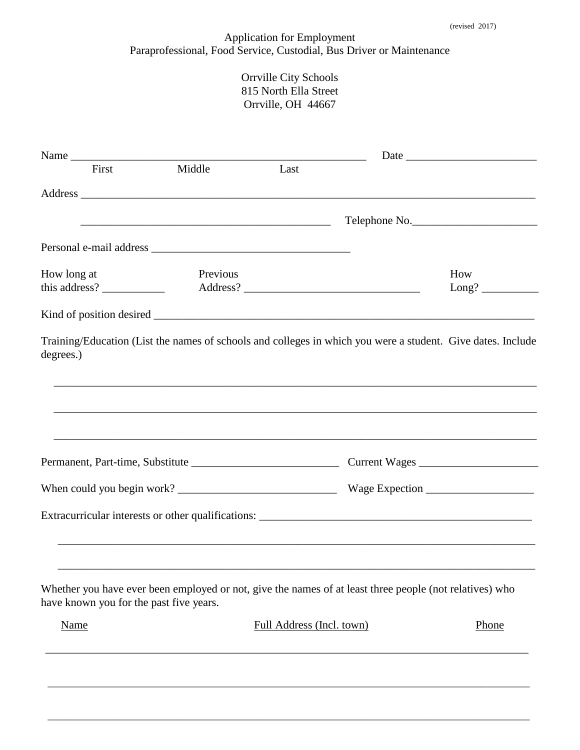## Application for Employment Paraprofessional, Food Service, Custodial, Bus Driver or Maintenance

Orrville City Schools 815 North Ella Street Orrville, OH 44667

| First                        | Middle                                                                                                                                             | Last                      |       |               |
|------------------------------|----------------------------------------------------------------------------------------------------------------------------------------------------|---------------------------|-------|---------------|
|                              |                                                                                                                                                    |                           |       |               |
|                              |                                                                                                                                                    |                           |       | Telephone No. |
|                              |                                                                                                                                                    |                           |       |               |
| How long at<br>this address? | Previous                                                                                                                                           |                           |       | How<br>Long?  |
|                              |                                                                                                                                                    |                           |       |               |
| degrees.)                    | Training/Education (List the names of schools and colleges in which you were a student. Give dates. Include                                        |                           |       |               |
|                              |                                                                                                                                                    |                           |       |               |
|                              |                                                                                                                                                    |                           |       |               |
|                              |                                                                                                                                                    |                           |       |               |
|                              |                                                                                                                                                    |                           |       |               |
|                              | Whether you have ever been employed or not, give the names of at least three people (not relatives) who<br>have known you for the past five years. |                           |       |               |
| <b>Name</b>                  |                                                                                                                                                    | Full Address (Incl. town) | Phone |               |
|                              |                                                                                                                                                    |                           |       |               |

\_\_\_\_\_\_\_\_\_\_\_\_\_\_\_\_\_\_\_\_\_\_\_\_\_\_\_\_\_\_\_\_\_\_\_\_\_\_\_\_\_\_\_\_\_\_\_\_\_\_\_\_\_\_\_\_\_\_\_\_\_\_\_\_\_\_\_\_\_\_\_\_\_\_\_\_\_\_\_\_\_\_\_\_\_\_\_\_\_\_\_\_\_\_\_\_\_\_\_\_\_

\_\_\_\_\_\_\_\_\_\_\_\_\_\_\_\_\_\_\_\_\_\_\_\_\_\_\_\_\_\_\_\_\_\_\_\_\_\_\_\_\_\_\_\_\_\_\_\_\_\_\_\_\_\_\_\_\_\_\_\_\_\_\_\_\_\_\_\_\_\_\_\_\_\_\_\_\_\_\_\_\_\_\_\_\_\_\_\_\_\_\_\_\_\_\_\_\_\_\_\_\_